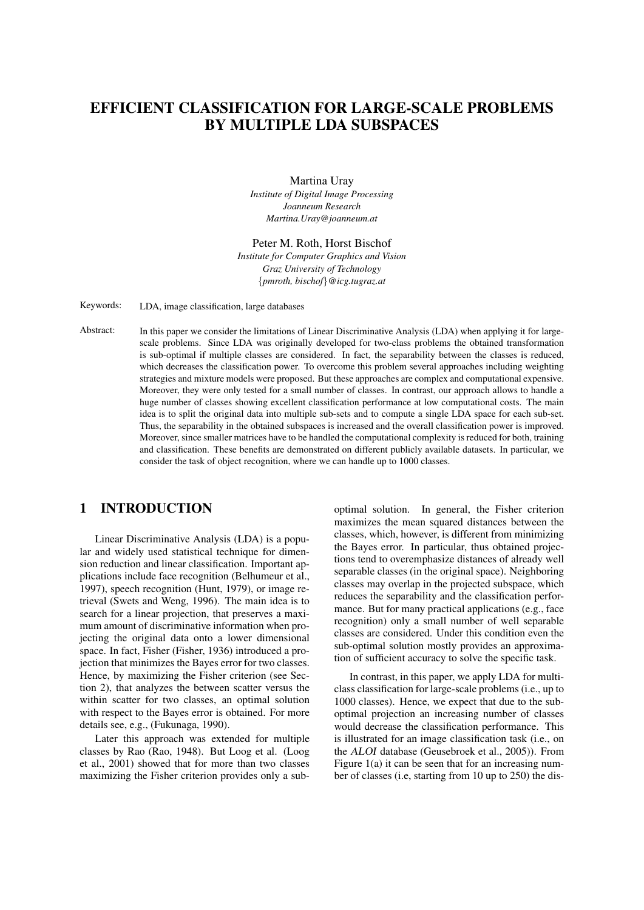# EFFICIENT CLASSIFICATION FOR LARGE-SCALE PROBLEMS BY MULTIPLE LDA SUBSPACES

Martina Uray *Institute of Digital Image Processing Joanneum Research Martina.Uray@joanneum.at*

Peter M. Roth, Horst Bischof *Institute for Computer Graphics and Vision Graz University of Technology* {*pmroth, bischof*}*@icg.tugraz.at*

Keywords: LDA, image classification, large databases

Abstract: In this paper we consider the limitations of Linear Discriminative Analysis (LDA) when applying it for largescale problems. Since LDA was originally developed for two-class problems the obtained transformation is sub-optimal if multiple classes are considered. In fact, the separability between the classes is reduced, which decreases the classification power. To overcome this problem several approaches including weighting strategies and mixture models were proposed. But these approaches are complex and computational expensive. Moreover, they were only tested for a small number of classes. In contrast, our approach allows to handle a huge number of classes showing excellent classification performance at low computational costs. The main idea is to split the original data into multiple sub-sets and to compute a single LDA space for each sub-set. Thus, the separability in the obtained subspaces is increased and the overall classification power is improved. Moreover, since smaller matrices have to be handled the computational complexity is reduced for both, training and classification. These benefits are demonstrated on different publicly available datasets. In particular, we consider the task of object recognition, where we can handle up to 1000 classes.

## 1 INTRODUCTION

Linear Discriminative Analysis (LDA) is a popular and widely used statistical technique for dimension reduction and linear classification. Important applications include face recognition (Belhumeur et al., 1997), speech recognition (Hunt, 1979), or image retrieval (Swets and Weng, 1996). The main idea is to search for a linear projection, that preserves a maximum amount of discriminative information when projecting the original data onto a lower dimensional space. In fact, Fisher (Fisher, 1936) introduced a projection that minimizes the Bayes error for two classes. Hence, by maximizing the Fisher criterion (see Section 2), that analyzes the between scatter versus the within scatter for two classes, an optimal solution with respect to the Bayes error is obtained. For more details see, e.g., (Fukunaga, 1990).

Later this approach was extended for multiple classes by Rao (Rao, 1948). But Loog et al. (Loog et al., 2001) showed that for more than two classes maximizing the Fisher criterion provides only a sub-

optimal solution. In general, the Fisher criterion maximizes the mean squared distances between the classes, which, however, is different from minimizing the Bayes error. In particular, thus obtained projections tend to overemphasize distances of already well separable classes (in the original space). Neighboring classes may overlap in the projected subspace, which reduces the separability and the classification performance. But for many practical applications (e.g., face recognition) only a small number of well separable classes are considered. Under this condition even the sub-optimal solution mostly provides an approximation of sufficient accuracy to solve the specific task.

In contrast, in this paper, we apply LDA for multiclass classification for large-scale problems (i.e., up to 1000 classes). Hence, we expect that due to the suboptimal projection an increasing number of classes would decrease the classification performance. This is illustrated for an image classification task (i.e., on the ALOI database (Geusebroek et al., 2005)). From Figure  $1(a)$  it can be seen that for an increasing number of classes (i.e, starting from 10 up to 250) the dis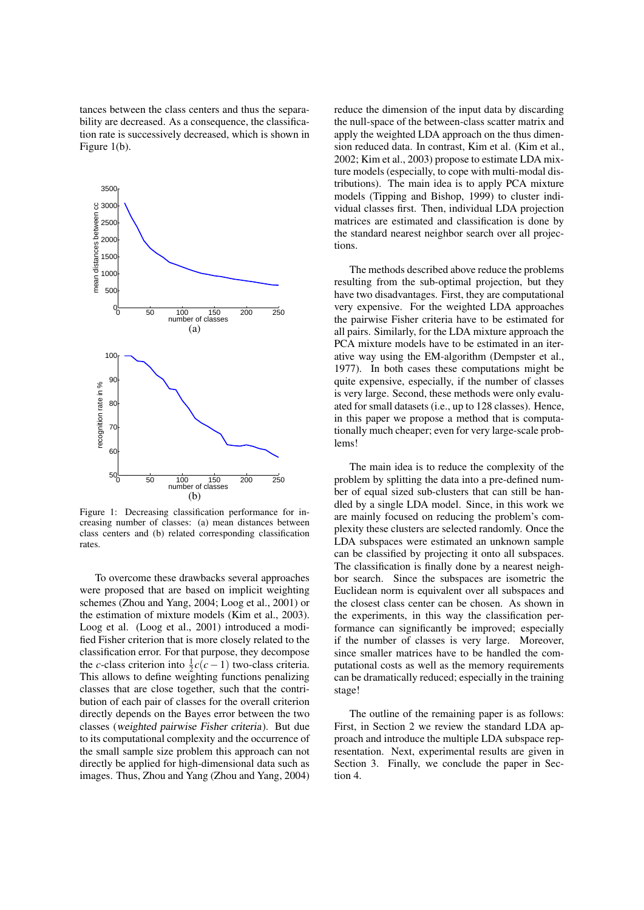tances between the class centers and thus the separability are decreased. As a consequence, the classification rate is successively decreased, which is shown in Figure 1(b).



Figure 1: Decreasing classification performance for increasing number of classes: (a) mean distances between class centers and (b) related corresponding classification rates.

To overcome these drawbacks several approaches were proposed that are based on implicit weighting schemes (Zhou and Yang, 2004; Loog et al., 2001) or the estimation of mixture models (Kim et al., 2003). Loog et al. (Loog et al., 2001) introduced a modified Fisher criterion that is more closely related to the classification error. For that purpose, they decompose the *c*-class criterion into  $\frac{1}{2}c(c-1)$  two-class criteria. This allows to define weighting functions penalizing classes that are close together, such that the contribution of each pair of classes for the overall criterion directly depends on the Bayes error between the two classes (weighted pairwise Fisher criteria). But due to its computational complexity and the occurrence of the small sample size problem this approach can not directly be applied for high-dimensional data such as images. Thus, Zhou and Yang (Zhou and Yang, 2004)

reduce the dimension of the input data by discarding the null-space of the between-class scatter matrix and apply the weighted LDA approach on the thus dimension reduced data. In contrast, Kim et al. (Kim et al., 2002; Kim et al., 2003) propose to estimate LDA mixture models (especially, to cope with multi-modal distributions). The main idea is to apply PCA mixture models (Tipping and Bishop, 1999) to cluster individual classes first. Then, individual LDA projection matrices are estimated and classification is done by the standard nearest neighbor search over all projections.

The methods described above reduce the problems resulting from the sub-optimal projection, but they have two disadvantages. First, they are computational very expensive. For the weighted LDA approaches the pairwise Fisher criteria have to be estimated for all pairs. Similarly, for the LDA mixture approach the PCA mixture models have to be estimated in an iterative way using the EM-algorithm (Dempster et al., 1977). In both cases these computations might be quite expensive, especially, if the number of classes is very large. Second, these methods were only evaluated for small datasets (i.e., up to 128 classes). Hence, in this paper we propose a method that is computationally much cheaper; even for very large-scale problems!

The main idea is to reduce the complexity of the problem by splitting the data into a pre-defined number of equal sized sub-clusters that can still be handled by a single LDA model. Since, in this work we are mainly focused on reducing the problem's complexity these clusters are selected randomly. Once the LDA subspaces were estimated an unknown sample can be classified by projecting it onto all subspaces. The classification is finally done by a nearest neighbor search. Since the subspaces are isometric the Euclidean norm is equivalent over all subspaces and the closest class center can be chosen. As shown in the experiments, in this way the classification performance can significantly be improved; especially if the number of classes is very large. Moreover, since smaller matrices have to be handled the computational costs as well as the memory requirements can be dramatically reduced; especially in the training stage!

The outline of the remaining paper is as follows: First, in Section 2 we review the standard LDA approach and introduce the multiple LDA subspace representation. Next, experimental results are given in Section 3. Finally, we conclude the paper in Section 4.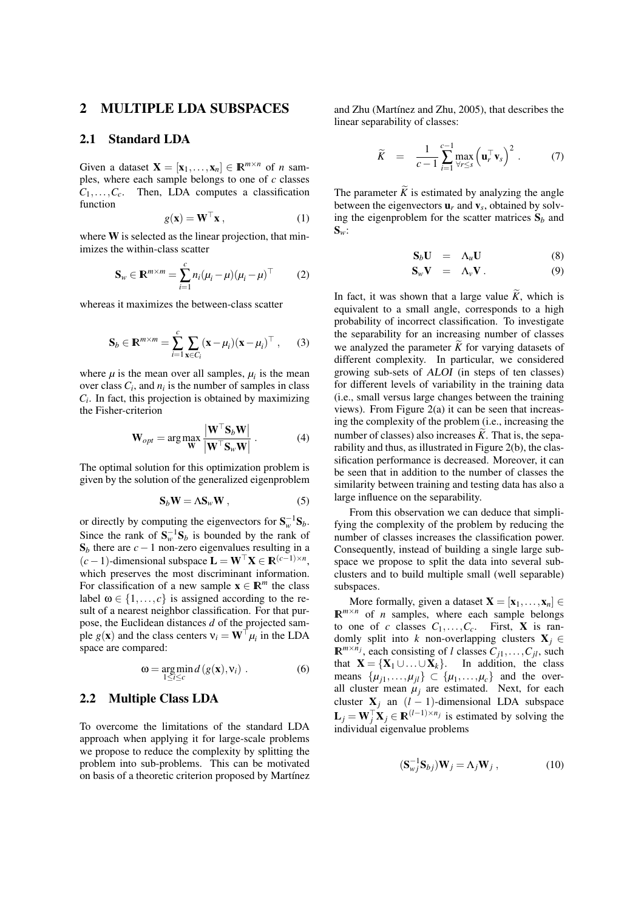#### 2 MULTIPLE LDA SUBSPACES

#### 2.1 Standard LDA

Given a dataset  $\mathbf{X} = [\mathbf{x}_1, ..., \mathbf{x}_n] \in \mathbb{R}^{m \times n}$  of *n* samples, where each sample belongs to one of *c* classes  $C_1, \ldots, C_c$ . Then, LDA computes a classification function

$$
g(\mathbf{x}) = \mathbf{W}^{\top} \mathbf{x},\tag{1}
$$

where **W** is selected as the linear projection, that minimizes the within-class scatter

$$
\mathbf{S}_w \in \mathbb{R}^{m \times m} = \sum_{i=1}^c n_i (\mu_i - \mu) (\mu_i - \mu)^\top \tag{2}
$$

whereas it maximizes the between-class scatter

$$
\mathbf{S}_b \in \mathbb{R}^{m \times m} = \sum_{i=1}^c \sum_{\mathbf{x} \in C_i} (\mathbf{x} - \mu_i) (\mathbf{x} - \mu_i)^\top , \qquad (3)
$$

where  $\mu$  is the mean over all samples,  $\mu_i$  is the mean over class  $C_i$ , and  $n_i$  is the number of samples in class  $C_i$ . In fact, this projection is obtained by maximizing the Fisher-criterion

$$
\mathbf{W}_{opt} = \arg \max_{\mathbf{W}} \frac{|\mathbf{W}^{\top} \mathbf{S}_b \mathbf{W}|}{|\mathbf{W}^{\top} \mathbf{S}_w \mathbf{W}|}. \tag{4}
$$

The optimal solution for this optimization problem is given by the solution of the generalized eigenproblem

$$
S_b W = \Lambda S_w W , \qquad (5)
$$

or directly by computing the eigenvectors for  $S_w^{-1}S_b$ . Since the rank of  $S_w^{-1}S_b$  is bounded by the rank of  $S_b$  there are  $c-1$  non-zero eigenvalues resulting in a  $(c-1)$ -dimensional subspace  $\mathbf{L} = \mathbf{W}^\top \mathbf{X} \in \mathbb{R}^{(c-1) \times n}$ , which preserves the most discriminant information. For classification of a new sample  $\mathbf{x} \in \mathbb{R}^m$  the class label  $\omega \in \{1, \ldots, c\}$  is assigned according to the result of a nearest neighbor classification. For that purpose, the Euclidean distances *d* of the projected sample  $g(\mathbf{x})$  and the class centers  $v_i = \mathbf{W}^\top \mu_i$  in the LDA space are compared:

$$
\omega = \underset{1 \leq i \leq c}{\arg \min} d(g(\mathbf{x}), \mathbf{v}_i) . \tag{6}
$$

#### 2.2 Multiple Class LDA

To overcome the limitations of the standard LDA approach when applying it for large-scale problems we propose to reduce the complexity by splitting the problem into sub-problems. This can be motivated on basis of a theoretic criterion proposed by Martínez and Zhu (Martínez and Zhu, 2005), that describes the linear separability of classes:

$$
\widetilde{K} = \frac{1}{c-1} \sum_{i=1}^{c-1} \max_{\forall r \leq s} \left( \mathbf{u}_r^\top \mathbf{v}_s \right)^2. \tag{7}
$$

The parameter  $\widetilde{K}$  is estimated by analyzing the angle between the eigenvectors  $\mathbf{u}_r$  and  $\mathbf{v}_s$ , obtained by solving the eigenproblem for the scatter matrices  $S_b$  and  $S_w$ :

$$
\mathbf{S}_b \mathbf{U} = \Lambda_u \mathbf{U} \tag{8}
$$

$$
\mathbf{S}_w \mathbf{V} = \Lambda_v \mathbf{V} . \tag{9}
$$

In fact, it was shown that a large value  $\widetilde{K}$ , which is equivalent to a small angle, corresponds to a high probability of incorrect classification. To investigate the separability for an increasing number of classes we analyzed the parameter  $\widetilde{K}$  for varying datasets of different complexity. In particular, we considered growing sub-sets of ALOI (in steps of ten classes) for different levels of variability in the training data (i.e., small versus large changes between the training views). From Figure 2(a) it can be seen that increasing the complexity of the problem (i.e., increasing the number of classes) also increases  $\widetilde{K}$ . That is, the separability and thus, as illustrated in Figure 2(b), the classification performance is decreased. Moreover, it can be seen that in addition to the number of classes the similarity between training and testing data has also a large influence on the separability.

From this observation we can deduce that simplifying the complexity of the problem by reducing the number of classes increases the classification power. Consequently, instead of building a single large subspace we propose to split the data into several subclusters and to build multiple small (well separable) subspaces.

More formally, given a dataset  $X = [\mathbf{x}_1, \dots, \mathbf{x}_n] \in$  $\mathbb{R}^{m \times n}$  of *n* samples, where each sample belongs to one of *c* classes  $C_1, \ldots, C_c$ . First, **X** is randomly split into *k* non-overlapping clusters  $X_i \in$  $\mathbb{R}^{m \times n_j}$ , each consisting of *l* classes  $C_{j1}, \ldots, C_{jl}$ , such that  $X = \{X_1 \cup ... \cup X_k\}$ . In addition, the class means  $\{\mu_{j1}, \dots, \mu_{jl}\} \subset \{\mu_1, \dots, \mu_c\}$  and the overall cluster mean  $\mu_j$  are estimated. Next, for each cluster  $X_j$  an  $(l-1)$ -dimensional LDA subspace  $\mathbf{L}_j = \mathbf{W}_j^\top \mathbf{X}_j \in \mathbb{R}^{(l-1) \times n_j}$  is estimated by solving the individual eigenvalue problems

$$
(\mathbf{S}_{wj}^{-1}\mathbf{S}_{bj})\mathbf{W}_j = \Lambda_j \mathbf{W}_j , \qquad (10)
$$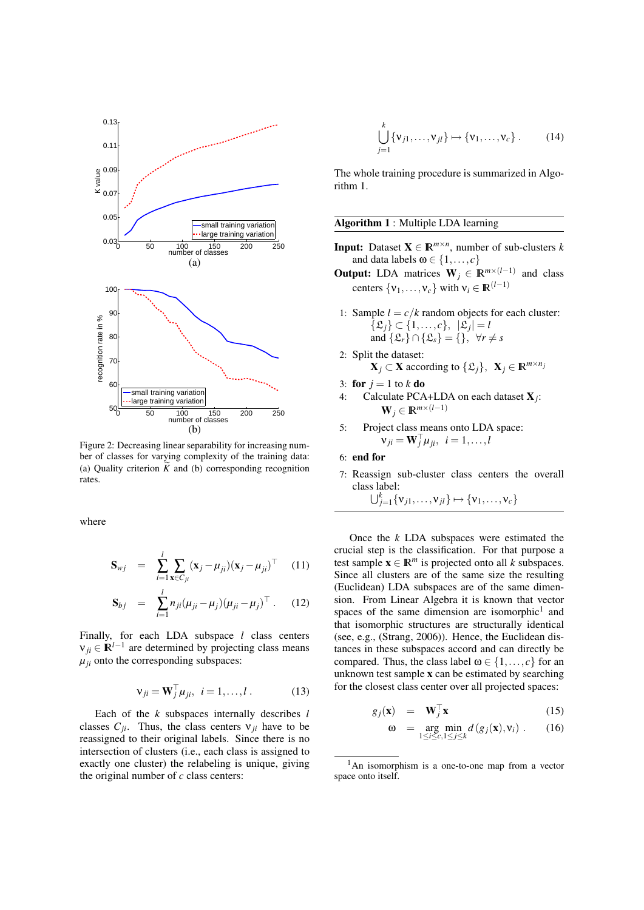

Figure 2: Decreasing linear separability for increasing number of classes for varying complexity of the training data: (a) Quality criterion  $\widetilde{K}$  and (b) corresponding recognition rates.

where

$$
\mathbf{S}_{wj} = \sum_{i=1}^{l} \sum_{\mathbf{x} \in C_{ji}} (\mathbf{x}_j - \mu_{ji}) (\mathbf{x}_j - \mu_{ji})^{\top} \quad (11)
$$

$$
\mathbf{S}_{bj} = \sum_{i=1}^{l} n_{ji} (\mu_{ji} - \mu_j) (\mu_{ji} - \mu_j)^{\top} . \quad (12)
$$

Finally, for each LDA subspace *l* class centers  $v_{ji} \in \mathbb{R}^{l-1}$  are determined by projecting class means  $\mu_{ii}$  onto the corresponding subspaces:

$$
\mathbf{v}_{ji} = \mathbf{W}_j^\top \boldsymbol{\mu}_{ji}, \ \ i = 1, \dots, l \ . \tag{13}
$$

Each of the *k* subspaces internally describes *l* classes  $C_{ji}$ . Thus, the class centers  $v_{ji}$  have to be reassigned to their original labels. Since there is no intersection of clusters (i.e., each class is assigned to exactly one cluster) the relabeling is unique, giving the original number of *c* class centers:

$$
\bigcup_{j=1}^k \{\mathbf{v}_{j1}, \dots, \mathbf{v}_{jl}\} \mapsto \{\mathbf{v}_1, \dots, \mathbf{v}_c\} .
$$
 (14)

The whole training procedure is summarized in Algorithm 1.

#### Algorithm 1 : Multiple LDA learning

- **Input:** Dataset  $X \in \mathbb{R}^{m \times n}$ , number of sub-clusters *k* and data labels  $\omega \in \{1, \ldots, c\}$
- **Output:** LDA matrices  $W_j \in \mathbb{R}^{m \times (l-1)}$  and class centers  $\{v_1, \ldots, v_c\}$  with  $v_i \in \mathbb{R}^{(l-1)}$ 
	- 1: Sample  $l = c/k$  random objects for each cluster:  $\{\mathfrak{L}_j\} \subset \{1,\ldots,c\}, \ |\mathfrak{L}_j| = l$ and  $\{\mathfrak{L}_r\}\cap \{\mathfrak{L}_s\} = \{\}, \forall r \neq s$
- 2: Split the dataset:  $\mathbf{X}_j$  ⊂ **X** according to { $\mathcal{L}_j$ },  $\mathbf{X}_j$  ∈ **R**<sup>*m*×*nj*</sup>
- 3: for  $j = 1$  to  $k$  do
- 4: Calculate PCA+LDA on each dataset X*<sup>j</sup>* :  $\mathbf{W}_i \in \mathbb{R}^{m \times (l-1)}$
- 5: Project class means onto LDA space:  $v_{ji} = \mathbf{W}_j^\top \mu_{ji}, i = 1, \ldots, l$
- 6: end for
- 7: Reassign sub-cluster class centers the overall class label:  $\bigcup_{j=1}^{k} {\mathbf{v}_{j1}, \ldots, \mathbf{v}_{jl}} \mapsto {\mathbf{v}_{1}, \ldots, \mathbf{v}_{c}}$

Once the *k* LDA subspaces were estimated the crucial step is the classification. For that purpose a test sample  $\mathbf{x} \in \mathbb{R}^m$  is projected onto all *k* subspaces. Since all clusters are of the same size the resulting (Euclidean) LDA subspaces are of the same dimension. From Linear Algebra it is known that vector spaces of the same dimension are isomorphic<sup>1</sup> and that isomorphic structures are structurally identical (see, e.g., (Strang, 2006)). Hence, the Euclidean distances in these subspaces accord and can directly be compared. Thus, the class label  $\omega \in \{1, \ldots, c\}$  for an unknown test sample x can be estimated by searching for the closest class center over all projected spaces:

$$
g_j(\mathbf{x}) = \mathbf{W}_j^\top \mathbf{x} \tag{15}
$$

$$
\omega = \underset{1 \leq i \leq c, 1 \leq j \leq k}{\arg \min} d(g_j(\mathbf{x}), \mathbf{v}_i) . \qquad (16)
$$

<sup>1</sup>An isomorphism is a one-to-one map from a vector space onto itself.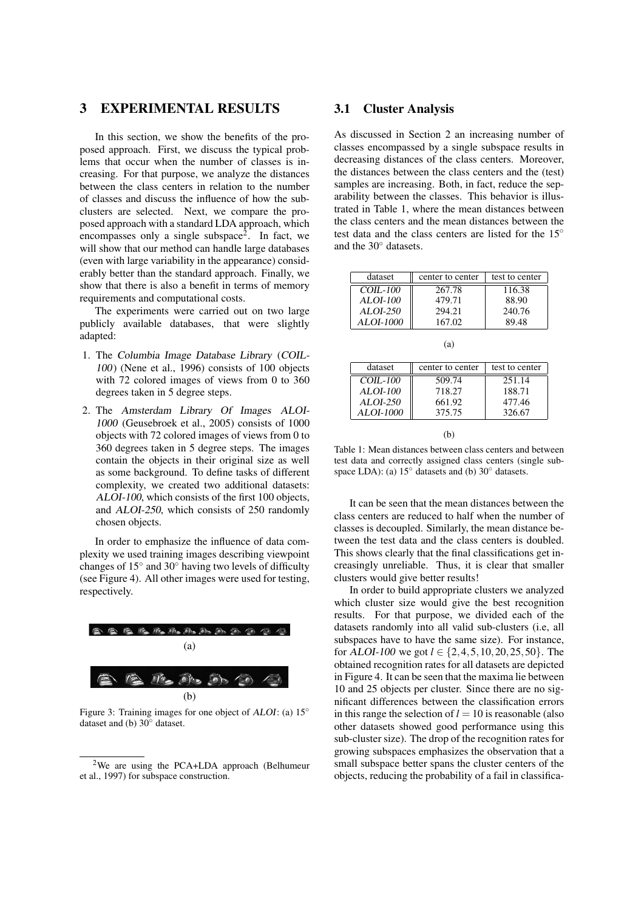#### 3 EXPERIMENTAL RESULTS

In this section, we show the benefits of the proposed approach. First, we discuss the typical problems that occur when the number of classes is increasing. For that purpose, we analyze the distances between the class centers in relation to the number of classes and discuss the influence of how the subclusters are selected. Next, we compare the proposed approach with a standard LDA approach, which encompasses only a single subspace<sup>2</sup>. In fact, we will show that our method can handle large databases (even with large variability in the appearance) considerably better than the standard approach. Finally, we show that there is also a benefit in terms of memory requirements and computational costs.

The experiments were carried out on two large publicly available databases, that were slightly adapted:

- 1. The Columbia Image Database Library (COIL-100) (Nene et al., 1996) consists of 100 objects with 72 colored images of views from 0 to 360 degrees taken in 5 degree steps.
- 2. The Amsterdam Library Of Images ALOI-1000 (Geusebroek et al., 2005) consists of 1000 objects with 72 colored images of views from 0 to 360 degrees taken in 5 degree steps. The images contain the objects in their original size as well as some background. To define tasks of different complexity, we created two additional datasets: ALOI-100, which consists of the first 100 objects, and ALOI-250, which consists of 250 randomly chosen objects.

In order to emphasize the influence of data complexity we used training images describing viewpoint changes of  $15^\circ$  and  $30^\circ$  having two levels of difficulty (see Figure 4). All other images were used for testing, respectively.



Figure 3: Training images for one object of ALOI: (a) 15◦ dataset and (b) 30◦ dataset.

#### 3.1 Cluster Analysis

As discussed in Section 2 an increasing number of classes encompassed by a single subspace results in decreasing distances of the class centers. Moreover, the distances between the class centers and the (test) samples are increasing. Both, in fact, reduce the separability between the classes. This behavior is illustrated in Table 1, where the mean distances between the class centers and the mean distances between the test data and the class centers are listed for the 15° and the 30◦ datasets.

| dataset         | center to center | test to center |
|-----------------|------------------|----------------|
| $COLL-100$      | 267.78           | 116.38         |
| <b>ALOI-100</b> | 479.71           | 88.90          |
| ALOI-250        | 294.21           | 240.76         |
| ALOI-1000       | 167.02           | 89.48          |

| I<br>I |
|--------|

| dataset    | center to center | test to center |
|------------|------------------|----------------|
| $COL-100$  | 509.74           | 251.14         |
| $ALOI-100$ | 718.27           | 188.71         |
| $ALOI-250$ | 661.92           | 477.46         |
| ALOI-1000  | 375.75           | 326.67         |

 $(h)$ 

Table 1: Mean distances between class centers and between test data and correctly assigned class centers (single subspace LDA): (a)  $15^\circ$  datasets and (b)  $30^\circ$  datasets.

It can be seen that the mean distances between the class centers are reduced to half when the number of classes is decoupled. Similarly, the mean distance between the test data and the class centers is doubled. This shows clearly that the final classifications get increasingly unreliable. Thus, it is clear that smaller clusters would give better results!

In order to build appropriate clusters we analyzed which cluster size would give the best recognition results. For that purpose, we divided each of the datasets randomly into all valid sub-clusters (i.e, all subspaces have to have the same size). For instance, for ALOI-100 we got *l* ∈ {2,4,5,10,20,25,50}. The obtained recognition rates for all datasets are depicted in Figure 4. It can be seen that the maxima lie between 10 and 25 objects per cluster. Since there are no significant differences between the classification errors in this range the selection of  $l = 10$  is reasonable (also other datasets showed good performance using this sub-cluster size). The drop of the recognition rates for growing subspaces emphasizes the observation that a small subspace better spans the cluster centers of the objects, reducing the probability of a fail in classifica-

<sup>2</sup>We are using the PCA+LDA approach (Belhumeur et al., 1997) for subspace construction.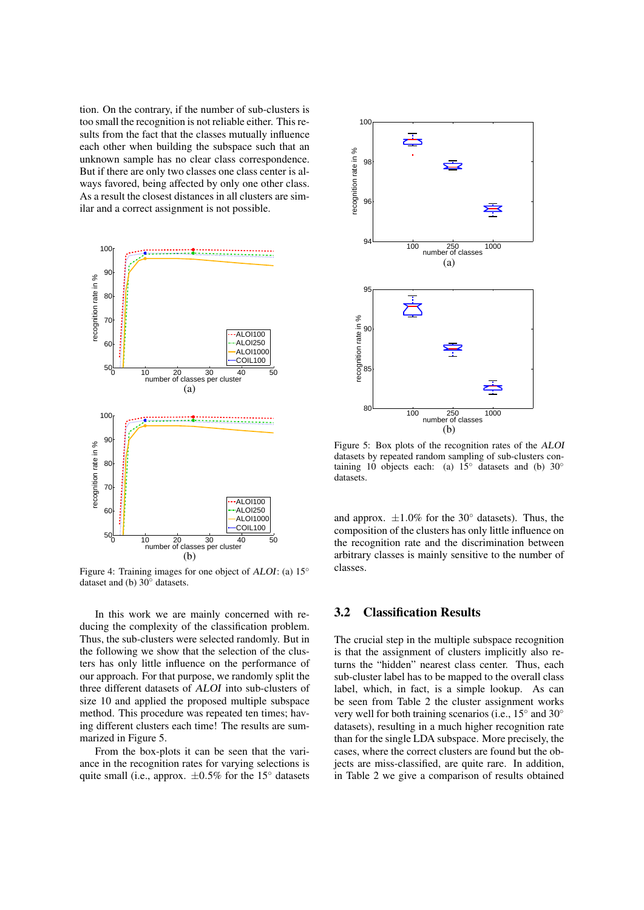tion. On the contrary, if the number of sub-clusters is too small the recognition is not reliable either. This results from the fact that the classes mutually influence each other when building the subspace such that an unknown sample has no clear class correspondence. But if there are only two classes one class center is always favored, being affected by only one other class. As a result the closest distances in all clusters are similar and a correct assignment is not possible.



Figure 4: Training images for one object of ALOI: (a) 15◦ dataset and (b) 30◦ datasets.

In this work we are mainly concerned with reducing the complexity of the classification problem. Thus, the sub-clusters were selected randomly. But in the following we show that the selection of the clusters has only little influence on the performance of our approach. For that purpose, we randomly split the three different datasets of ALOI into sub-clusters of size 10 and applied the proposed multiple subspace method. This procedure was repeated ten times; having different clusters each time! The results are summarized in Figure 5.

From the box-plots it can be seen that the variance in the recognition rates for varying selections is quite small (i.e., approx.  $\pm 0.5\%$  for the 15° datasets



Figure 5: Box plots of the recognition rates of the ALOI datasets by repeated random sampling of sub-clusters containing 10 objects each: (a)  $15°$  datasets and (b) 30° datasets.

and approx.  $\pm 1.0\%$  for the 30 $\degree$  datasets). Thus, the composition of the clusters has only little influence on the recognition rate and the discrimination between arbitrary classes is mainly sensitive to the number of classes.

#### 3.2 Classification Results

The crucial step in the multiple subspace recognition is that the assignment of clusters implicitly also returns the "hidden" nearest class center. Thus, each sub-cluster label has to be mapped to the overall class label, which, in fact, is a simple lookup. As can be seen from Table 2 the cluster assignment works very well for both training scenarios (i.e., 15° and 30° datasets), resulting in a much higher recognition rate than for the single LDA subspace. More precisely, the cases, where the correct clusters are found but the objects are miss-classified, are quite rare. In addition, in Table 2 we give a comparison of results obtained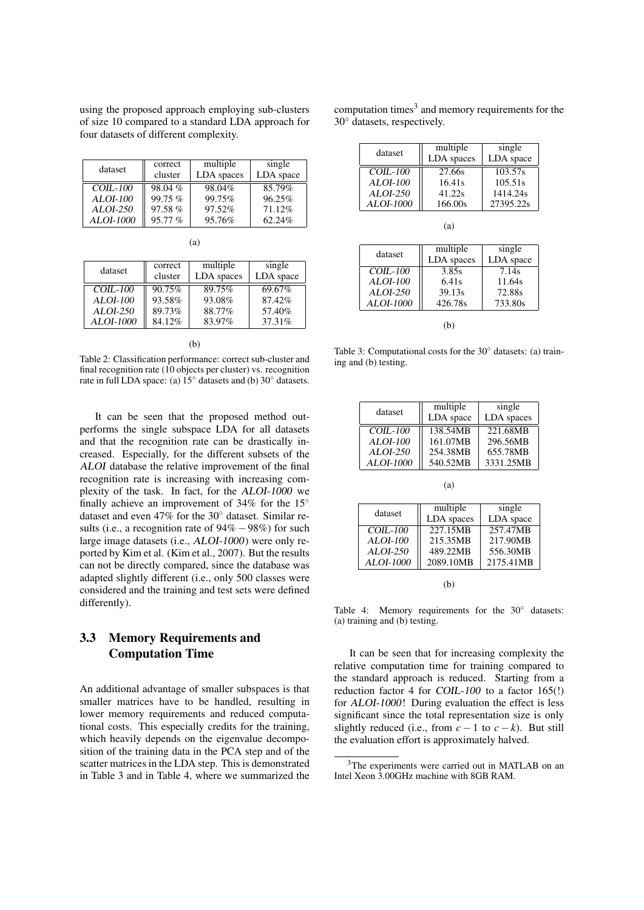using the proposed approach employing sub-clusters of size 10 compared to a standard LDA approach for four datasets of different complexity.

| dataset         | correct<br>cluster | multiple<br>LDA spaces | single<br>LDA space |
|-----------------|--------------------|------------------------|---------------------|
| $COL-100$       | 98.04%             | 98.04%                 | $85.79\%$           |
| <b>ALOI-100</b> | 99.75%             | 99.75%                 | 96.25%              |
| ALOI-250        | 97.58%             | 97.52%                 | 71.12%              |
| ALOI-1000       | 95.77%             | 95.76%                 | 62.24%              |

| dataset         | correct | multiple   | single    |
|-----------------|---------|------------|-----------|
|                 | cluster | LDA spaces | LDA space |
| $COL-100$       | 90.75%  | 89.75%     | 69.67%    |
| <b>ALOI-100</b> | 93.58%  | 93.08%     | 87.42%    |
| $ALOI-250$      | 89.73%  | 88.77%     | 57.40%    |
| ALOI-1000       | 84.12%  | 83.97%     | 37.31%    |

(a)

(b)

Table 2: Classification performance: correct sub-cluster and final recognition rate (10 objects per cluster) vs. recognition rate in full LDA space: (a) 15◦ datasets and (b) 30◦ datasets.

It can be seen that the proposed method outperforms the single subspace LDA for all datasets and that the recognition rate can be drastically increased. Especially, for the different subsets of the ALOI database the relative improvement of the final recognition rate is increasing with increasing complexity of the task. In fact, for the ALOI-1000 we finally achieve an improvement of 34% for the  $15^\circ$ dataset and even 47% for the 30◦ dataset. Similar results (i.e., a recognition rate of  $94\% - 98\%$ ) for such large image datasets (i.e., ALOI-1000) were only reported by Kim et al. (Kim et al., 2007). But the results can not be directly compared, since the database was adapted slightly different (i.e., only 500 classes were considered and the training and test sets were defined differently).

## 3.3 Memory Requirements and Computation Time

An additional advantage of smaller subspaces is that smaller matrices have to be handled, resulting in lower memory requirements and reduced computational costs. This especially credits for the training, which heavily depends on the eigenvalue decomposition of the training data in the PCA step and of the scatter matrices in the LDA step. This is demonstrated in Table 3 and in Table 4, where we summarized the computation times<sup>3</sup> and memory requirements for the 30◦ datasets, respectively.

| dataset    | multiple<br>LDA spaces | single<br>LDA space |
|------------|------------------------|---------------------|
| $COLL-100$ | 27.66s                 | 103.57s             |
| ALOI-100   | 16.41s                 | 105.51s             |
| $ALOI-250$ | 41.22s                 | 1414.24s            |
| ALOI-1000  | 166.00s                | 27395.22s           |

| (a)        |            |           |  |
|------------|------------|-----------|--|
|            | multiple   | single    |  |
| dataset    | LDA spaces | LDA space |  |
| $COL-100$  | 3.85s      | 7.14s     |  |
| $ALOI-100$ | 6.41s      | 11.64s    |  |
| $ALOI-250$ | 39.13s     | 72.88s    |  |
| ALOI-1000  | 426.78s    | 733.80s   |  |
|            |            |           |  |
|            |            |           |  |

Table 3: Computational costs for the 30◦ datasets: (a) training and (b) testing.

| dataset    | multiple<br>LDA space | single<br>LDA spaces |
|------------|-----------------------|----------------------|
| $COL-100$  | 138.54MB              | 221.68MB             |
| ALOI-100   | 161.07MB              | 296.56MB             |
| $ALOI-250$ | 254.38MB              | 655.78MB             |
| ALOI-1000  | 540.52MB              | 3331.25MB            |

| dataset         | multiple   | single    |
|-----------------|------------|-----------|
|                 | LDA spaces | LDA space |
| $COLI-100$      | 227.15MB   | 257.47MB  |
| <b>ALOI-100</b> | 215.35MB   | 217.90MB  |
| ALOI-250        | 489.22MB   | 556.30MB  |
| ALOI-1000       | 2089.10MB  | 2175.41MB |
|                 |            |           |

(b)

Table 4: Memory requirements for the 30◦ datasets: (a) training and (b) testing.

It can be seen that for increasing complexity the relative computation time for training compared to the standard approach is reduced. Starting from a reduction factor 4 for COIL-100 to a factor 165(!) for ALOI-1000! During evaluation the effect is less significant since the total representation size is only slightly reduced (i.e., from  $c - 1$  to  $c - k$ ). But still the evaluation effort is approximately halved.

<sup>3</sup>The experiments were carried out in MATLAB on an Intel Xeon 3.00GHz machine with 8GB RAM.